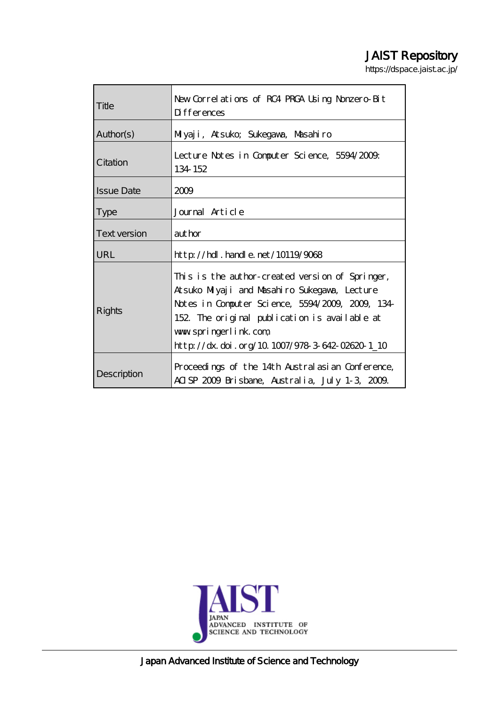# JAIST Repository

https://dspace.jaist.ac.jp/

| Title             | New Correl at ions of RC4 PRCA Using Nonzero-Bit<br><b>D</b> ifferences                                                                                                                                                                                                         |
|-------------------|---------------------------------------------------------------------------------------------------------------------------------------------------------------------------------------------------------------------------------------------------------------------------------|
| Author(s)         | Milyaji, Atsuko; Sukegawa, Masahiro                                                                                                                                                                                                                                             |
| Citation          | Lecture Notes in Computer Science, 5594/2009.<br>134 152                                                                                                                                                                                                                        |
| <b>Issue Date</b> | 2009                                                                                                                                                                                                                                                                            |
| <b>Type</b>       | Journal Article                                                                                                                                                                                                                                                                 |
| Text version      | author                                                                                                                                                                                                                                                                          |
| <b>URL</b>        | $http$ // $hdl$ . handle. net/10119/9068                                                                                                                                                                                                                                        |
| Rights            | This is the author-created version of Springer,<br>Atsuko Miyaji and Masahiro Sukegawa, Lecture<br>Notes in Computer Science, 5594/2009, 2009, 134-<br>152. The original publication is available at<br>www.springerlink.com.<br>http://dx.doi.org/10.1007/978-3-642-02620-1_10 |
| Description       | Proceedings of the 14th Australasian Conference,<br>ACISP 2009 Brisbane, Australia, July 1-3, 2009.                                                                                                                                                                             |



Japan Advanced Institute of Science and Technology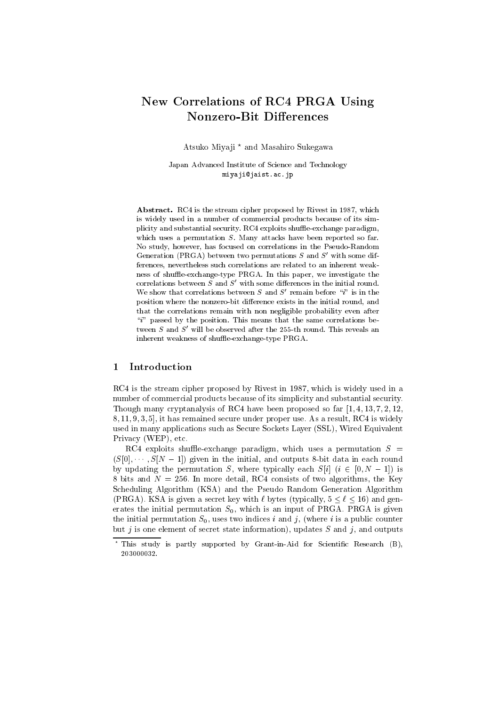## **New Correlations of RC4 PRGA Using Nonzero-Bit Differences**

Atsuko Miyaji \* and Masahiro Sukegawa

Japan Advanced Institute of Science and Technology miyaji@jaist.ac.jp

Abstract. RC4 is the stream cipher proposed by Rivest in 1987, which is widely used in a number of commercial products because of its simplicity and substantial security. RC4 exploits shuffle exchange paradigm. which uses a permutation  $S$ . Many attacks have been reported so far. No study, however, has focused on correlations in the Pseudo-Random Generation (PRGA) between two permutations  $S$  and  $S'$  with some differences, nevertheless such correlations are related to an inherent weakness of shuffle-exchange-type PRGA. In this paper, we investigate the correlations between  $S$  and  $S'$  with some differences in the initial round. We show that correlations between  $S$  and  $S'$  remain before "i" is in the position where the nonzero-bit difference exists in the initial round, and that the correlations remain with non negligible probability even after " $i$ " passed by the position. This means that the same correlations between S and S' will be observed after the 255-th round. This reveals an inherent weakness of shuffle-exchange-type PRGA.

#### 1 Introduction

RC4 is the stream cipher proposed by Rivest in 1987, which is widely used in a number of commercial products because of its simplicity and substantial security. Though many cryptanalysis of RC4 have been proposed so far  $[1, 4, 13, 7, 2, 12, 12]$ 8.11.9.3.5], it has remained secure under proper use. As a result, RC4 is widely used in many applications such as Secure Sockets Laver (SSL). Wired Equivalent Privacy (WEP), etc.

RC4 exploits shuffle-exchange paradigm, which uses a permutation  $S =$  $(S[0], \dots, S[N-1])$  given in the initial, and outputs 8-bit data in each round by updating the permutation S, where typically each  $S[i]$   $(i \in [0, N-1])$  is 8 bits and  $N = 256$ . In more detail, RC4 consists of two algorithms, the Key Scheduling Algorithm (KSA) and the Pseudo Random Generation Algorithm (PRGA). KSA is given a secret key with  $\ell$  bytes (typically,  $5 \leq \ell \leq 16$ ) and generates the initial permutation  $S_0$ , which is an input of PRGA. PRGA is given the initial permutation  $S_0$ , uses two indices i and j, (where i is a public counter but j is one element of secret state information), updates S and j, and outputs

<sup>\*</sup> This study is partly supported by Grant-in-Aid for Scientific Research (B), 203000032.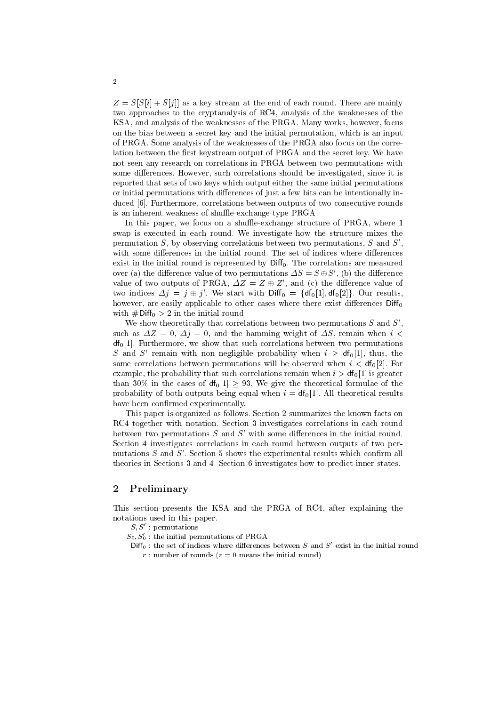$Z = S[S[i] + S[j]]$  as a key stream at the end of each round. There are mainly two approaches to the cryptanalysis of RC4, analysis of the weaknesses of the KSA, and analysis of the weaknesses of the PRGA. Many works, however, focus on the bias between a secret key and the initial permutation, which is an input of PRGA. Some analysis of the weaknesses of the PRGA also focus on the correlation between the first keystream output of PRGA and the secret key. We have not seen any research on correlations in PRGA between two permutations with some differences. However, such correlations should be investigated, since it is reported that sets of two keys which output either the same initial permutations or initial permutations with differences of just a few bits can be intentionally induced [6]. Furthermore, correlations between outputs of two consecutive rounds is an inherent weakness of shuffle-exchange-type PRGA.

In this paper, we focus on a shuffle-exchange structure of PRGA, where 1 swap is executed in each round. We investigate how the structure mixes the permutation  $S$ , by observing correlations between two permutations,  $S$  and  $S'$ , with some differences in the initial round. The set of indices where differences exist in the initial round is represented by  $Diff_0$ . The correlations are measured over (a) the difference value of two permutations  $\Delta S = S \oplus S'$ , (b) the difference value of two outputs of PRGA,  $\Delta Z = Z \oplus Z'$ , and (c) the difference value of two indices  $\Delta j = j \oplus j'$ . We start with  $\text{Diff}_0 = {\text{df}_0[1], \text{df}_0[2]}$ . Our results, however, are easily applicable to other cases where there exist differences  $\text{Diff}_0$ with  $\#Diff_0 > 2$  in the initial round.

We show theoretically that correlations between two permutations  $S$  and  $S'$ , such as  $\Delta Z = 0$ ,  $\Delta j = 0$ , and the hamming weight of  $\Delta S$ , remain when  $i <$  $df<sub>0</sub>[1]$ . Furthermore, we show that such correlations between two permutations S and S' remain with non negligible probability when  $i \geq df_0[1]$ , thus, the same correlations between permutations will be observed when  $i < df<sub>0</sub>[2]$ . For example, the probability that such correlations remain when  $i > df<sub>0</sub>[1]$  is greater than 30% in the cases of  $df_0[1] > 93$ . We give the theoretical formulae of the probability of both outputs being equal when  $i = df<sub>0</sub>[1]$ . All theoretical results have been confirmed experimentally.

This paper is organized as follows. Section 2 summarizes the known facts on RC4 together with notation. Section 3 investigates correlations in each round between two permutations  $S$  and  $S'$  with some differences in the initial round. Section 4 investigates correlations in each round between outputs of two permutations  $S$  and  $S'$ . Section 5 shows the experimental results which confirm all theories in Sections 3 and 4. Section 6 investigates how to predict inner states.

#### $\boldsymbol{2}$ Preliminary

This section presents the KSA and the PRGA of RC4, after explaining the notations used in this paper.

- $S, S'$ : permutations
- $S_0, S'_0$ : the initial permutations of PRGA
- $Diff_0$ : the set of indices where differences between S and S' exist in the initial round r: number of rounds ( $r = 0$  means the initial round)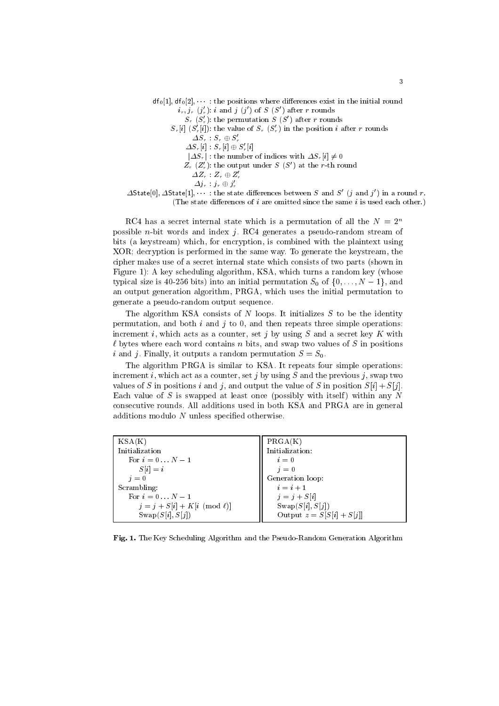- $df_0[1], df_0[2], \dots$ : the positions where differences exist in the initial round  $i_r, j_r (j'_r): i$  and  $j (j')$  of  $S (S')$  after r rounds
	- $S_r(S'_r)$ : the permutation  $S(S')$  after r rounds
	- $S_r[i]$   $(S'_r[i])$ : the value of  $S_r$   $(S'_r)$  in the position *i* after *r* rounds
		- $\varDelta S_r:S_r\oplus S_r'$
		- $\varDelta S_r[i] : S_r[i] \oplus S'_r[i]$
		- $|\Delta S_r|$ : the number of indices with  $\Delta S_r[i] \neq 0$
		- $Z_r(Z'_r)$ : the output under  $S(S')$  at the r-th round
			- $\varDelta Z_r\,:\,Z_r\oplus Z_r'$
			- $\varDelta j_{r} \quad j_{r} \oplus j_{r}'$

 $\Delta$ State[0],  $\Delta$ State[1], ... : the state differences between S and S' (j and j') in a round r. (The state differences of  $i$  are omitted since the same  $i$  is used each other.)

RC4 has a secret internal state which is a permutation of all the  $N = 2^n$ possible *n*-bit words and index  $j$ . RC4 generates a pseudo-random stream of bits (a keystream) which, for encryption, is combined with the plaintext using XOR; decryption is performed in the same way. To generate the keystream, the cipher makes use of a secret internal state which consists of two parts (shown in Figure 1): A key scheduling algorithm, KSA, which turns a random key (whose typical size is 40-256 bits) into an initial permutation  $S_0$  of  $\{0, \ldots, N-1\}$ , and an output generation algorithm, PRGA, which uses the initial permutation to generate a pseudo-random output sequence.

The algorithm KSA consists of  $N$  loops. It initializes  $S$  to be the identity permutation, and both  $i$  and  $j$  to 0, and then repeats three simple operations: increment i, which acts as a counter, set j by using  $S$  and a secret key K with  $\ell$  bytes where each word contains n bits, and swap two values of S in positions i and j. Finally, it outputs a random permutation  $S = S_0$ .

The algorithm PRGA is similar to KSA. It repeats four simple operations: increment i, which act as a counter, set j by using S and the previous j, swap two values of S in positions i and j, and output the value of S in position  $S[i] + S[i]$ . Each value of  $S$  is swapped at least once (possibly with itself) within any  $N$ consecutive rounds. All additions used in both KSA and PRGA are in general additions modulo  $N$  unless specified otherwise.

| KSA(K)                            | PRGA(K)                     |
|-----------------------------------|-----------------------------|
| Initialization                    | Initialization:             |
| For $i=0N-1$                      | $i=0$                       |
| $S[i] = i$                        | $i=0$                       |
| $i=0$                             | Generation loop:            |
| Scrambling:                       | $i=i+1$                     |
| For $i=0N-1$                      | $j = j + S[i]$              |
| $j = j + S[i] + K[i \pmod{\ell}]$ | $\text{Swap}(S[i], S[j])$   |
| Swap(S[i], S[i])                  | Output $z = S[S[i] + S[j]]$ |

Fig. 1. The Key Scheduling Algorithm and the Pseudo-Random Generation Algorithm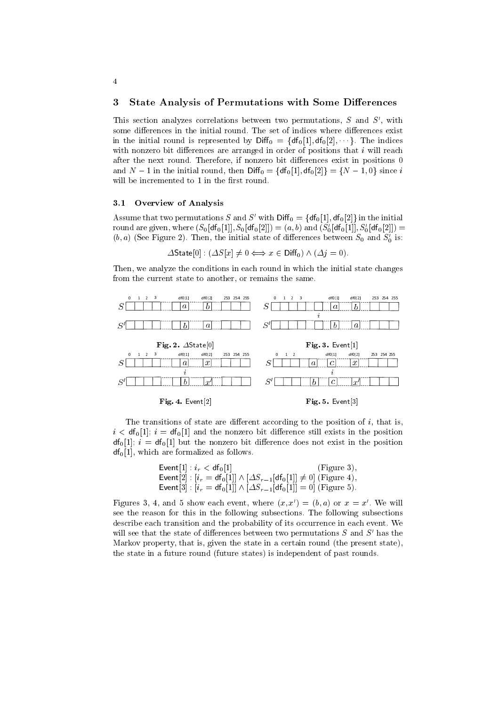#### **State Analysis of Permutations with Some Differences** 3

This section analyzes correlations between two permutations,  $S$  and  $S'$ , with some differences in the initial round. The set of indices where differences exist in the initial round is represented by  $\text{Diff}_0 = {\text{df}_0[1], \text{df}_0[2], \dots}$ . The indices with nonzero bit differences are arranged in order of positions that  $i$  will reach after the next round. Therefore, if nonzero bit differences exist in positions 0 and  $N-1$  in the initial round, then  $\text{Diff}_0 = \{df_0[1], df_0[2]\} = \{N-1, 0\}$  since i will be incremented to 1 in the first round.

#### $3.1$ Overview of Analysis

Assume that two permutations S and S' with  $\text{Diff}_0 = \{df_0[1], df_0[2]\}$  in the initial round are given, where  $(S_0[df_0[1]], S_0[df_0[2]]) = (a, b)$  and  $(S'_0[df_0[1]], S'_0[df_0[2]]) =$  $(b, a)$  (See Figure 2). Then, the initial state of differences between  $S_0$  and  $S'_0$  is:

$$
\Delta \text{State}[0] : (\Delta S[x] \neq 0 \Longleftrightarrow x \in \text{Diff}_0) \land (\Delta j = 0).
$$

Then, we analyze the conditions in each round in which the initial state changes from the current state to another, or remains the same.



The transitions of state are different according to the position of  $i$ , that is,  $i < df_0[1]$ ;  $i = df_0[1]$  and the nonzero bit difference still exists in the position  $df_0[1]; i = df_0[1]$  but the nonzero bit difference does not exist in the position  $df_0[1]$ , which are formalized as follows.

$$
\begin{aligned}\n\text{Event}[1] : i_r < df_0[1] < [Figure 3], \\
\text{Event}[2] : [i_r = df_0[1]] \land [\Delta S_{r-1}[df_0[1]] \neq 0] \text{ (Figure 4)}, \\
\text{Event}[3] : [i_r = df_0[1]] \land [\Delta S_{r-1}[df_0[1]] = 0] \text{ (Figure 5)}.\n\end{aligned}
$$

Figures 3, 4, and 5 show each event, where  $(x, x') = (b, a)$  or  $x = x'$ . We will see the reason for this in the following subsections. The following subsections describe each transition and the probability of its occurrence in each event. We will see that the state of differences between two permutations  $S$  and  $S'$  has the Markov property, that is, given the state in a certain round (the present state), the state in a future round (future states) is independent of past rounds.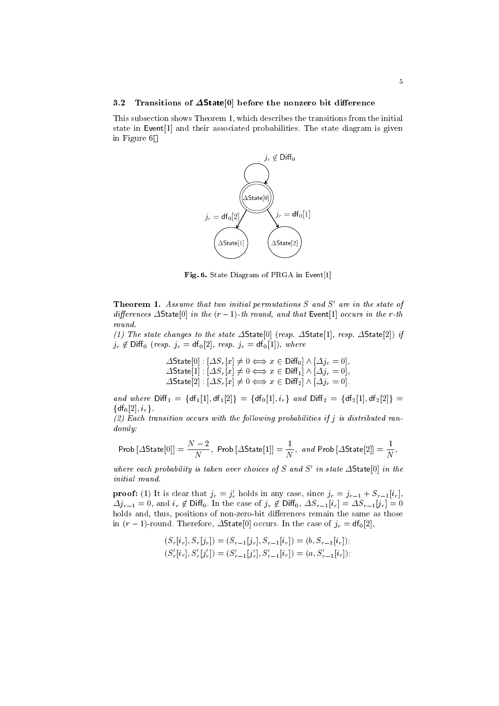#### $3.2$ Transitions of  $\Delta$ State[0] before the nonzero bit difference

This subsection shows Theorem 1, which describes the transitions from the initial state in Event<sup>[1]</sup> and their associated probabilities. The state diagram is given in Figure 6



Fig. 6. State Diagram of PRGA in Event[1]

**Theorem 1.** Assume that two initial permutations  $S$  and  $S'$  are in the state of differences  $\Delta$ State[0] in the  $(r-1)$ -th round, and that Event[1] occurs in the r-th round.

(1) The state changes to the state  $\Delta$ State[0] (resp.  $\Delta$ State[1], resp.  $\Delta$ State[2]) if  $j_r \notin \text{Diff}_0$  (resp.  $j_r = \text{df}_0[2]$ , resp.  $j_r = \text{df}_0[1]$ ), where

 $\begin{array}{l} \varDelta\textsf{State}[0]: [\varDelta S_r[x]\neq 0 \Longleftrightarrow x\in\textsf{Diff}_0]\wedge[\varDelta j_r=0] \\ \varDelta\textsf{State}[1]: [\varDelta S_r[x]\neq 0 \Longleftrightarrow x\in\textsf{Diff}_1]\wedge[\varDelta j_r=0] \\ \varDelta\textsf{State}[2]: [\varDelta S_r[x]\neq 0 \Longleftrightarrow x\in\textsf{Diff}_2]\wedge[\varDelta j_r=0] \end{array}$ 

and where  $Diff_1 = {df_1[1], df_1[2]} = {df_0[1], i_r}$  and  $Diff_2 = {df_2[1], df_2[2]} =$  $\{df_0[2], i_r\}.$ 

 $(2)$  Each transition occurs with the following probabilities if j is distributed ran $domly:$ 

$$
\textrm{Prob}\left[\Delta\textrm{State}[0]\right]=\frac{N-2}{N},\,\,\textrm{Prob}\left[\Delta\textrm{State}[1]\right]=\frac{1}{N},\,\,and\,\,\textrm{Prob}\left[\Delta\textrm{State}[2]\right]=\frac{1}{N},
$$

where each probability is taken over choices of S and S' in state  $\Delta$ State[0] in the initial round.

**proof:** (1) It is clear that  $j_r = j'_r$  holds in any case, since  $j_r = j_{r-1} + S_{r-1}[i_r]$ ,  $\Delta j_{r-1} = 0$ , and  $i_r \notin \text{Diff}_0$ . In the case of  $j_r \notin \text{Diff}_0$ ,  $\Delta S_{r-1}[i_r] = \Delta S_{r-1}[j_r] = 0$ holds and, thus, positions of non-zero-bit differences remain the same as those in  $(r-1)$ -round. Therefore,  $\Delta$ State[0] occurs. In the case of  $j_r = df_0[2]$ ,

$$
(S_r[i_r], S_r[j_r]) = (S_{r-1}[j_r], S_{r-1}[i_r]) = (b, S_{r-1}[i_r]);
$$
  
\n
$$
(S'_r[i_r], S'_r[j'_r]) = (S'_{r-1}[j'_r], S'_{r-1}[i_r]) = (a, S'_{r-1}[i_r]);
$$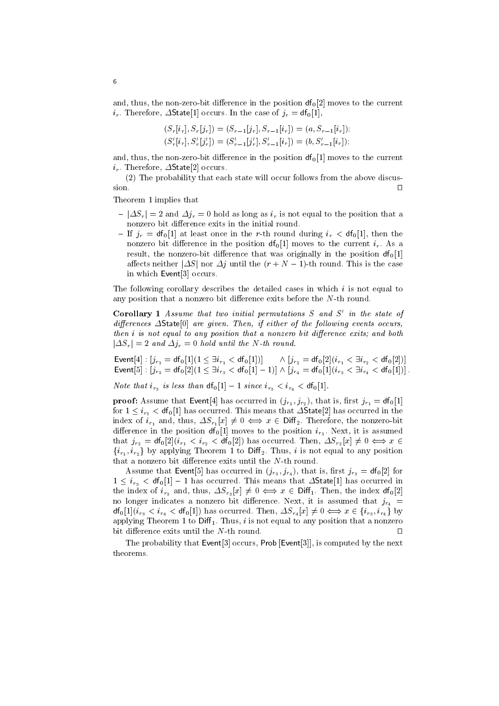and, thus, the non-zero-bit difference in the position  $df_0[2]$  moves to the current  $i_r$ . Therefore,  $\Delta$ State[1] occurs. In the case of  $j_r = df_0[1]$ ,

$$
(S_r[i_r], S_r[j_r]) = (S_{r-1}[j_r], S_{r-1}[i_r]) = (a, S_{r-1}[i_r]);
$$
  

$$
(S'_r[i_r], S'_r[j'_r]) = (S'_{r-1}[j'_r], S'_{r-1}[i_r]) = (b, S'_{r-1}[i_r]);
$$

and, thus, the non-zero-bit difference in the position  $df_0[1]$  moves to the current  $i_r$ . Therefore,  $\Delta$ State[2] occurs.

(2) The probability that each state will occur follows from the above discussion.  $\Box$ 

Theorem 1 implies that

- $-|\Delta S_r| = 2$  and  $\Delta j_r = 0$  hold as long as  $i_r$  is not equal to the position that a nonzero bit difference exits in the initial round.
- If  $j_r = df_0[1]$  at least once in the r-th round during  $i_r < df_0[1]$ , then the nonzero bit difference in the position  $df_0[1]$  moves to the current  $i_r$ . As a result, the nonzero-bit difference that was originally in the position  $df_0[1]$ affects neither  $|\Delta S|$  nor  $\Delta j$  until the  $(r + N - 1)$ -th round. This is the case in which Event[3] occurs.

The following corollary describes the detailed cases in which  $i$  is not equal to any position that a nonzero bit difference exits before the  $N$ -th round.

**Corollary 1** Assume that two initial permutations  $S$  and  $S'$  in the state of differences  $\Delta$ State<sup>[0]</sup> are given. Then, if either of the following events occurs, then *i* is not equal to any position that a nonzero bit difference exits; and both  $|\Delta S_r| = 2$  and  $\Delta j_r = 0$  hold until the N-th round.

 $\begin{array}{l} \textnormal{Event}[4]: \left[j_{r_1} = \textnormal{df}_0[1](1 \leq \exists i_{r_1} < \textnormal{df}_0[1])\right] \quad \wedge \left[j_{r_2} = \textnormal{df}_0[2](i_{r_1} < \exists i_{r_2} < \textnormal{df}_0[2])\right] \\ \textnormal{Event}[5]: \left[j_{r_3} = \textnormal{df}_0[2](1 \leq \exists i_{r_3} < \textnormal{df}_0[1]-1)\right] \wedge \left[j_{r_4} = \textnormal{df}_0[1](i_{r_3} < \exists i_{r_4} < \textnormal{df}_0[1])\right]. \$ 

*Note that*  $i_{r_3}$  *is less than*  $df_0[1] - 1$  *since*  $i_{r_3} < i_{r_4} < df_0[1]$ .

**proof:** Assume that Event[4] has occurred in  $(j_{r_1}, j_{r_2})$ , that is, first  $j_{r_1} = df_0[1]$ for  $1 \leq i_{r_1} <$  df<sub>0</sub>[1] has occurred. This means that  $\Delta$ State<sup>[2]</sup> has occurred in the index of  $i_{r_1}$  and, thus,  $\Delta S_{r_1}[x] \neq 0 \iff x \in \text{Diff}_2$ . Therefore, the nonzero-bit difference in the position  $df_0[1]$  moves to the position  $i_{r_1}$ . Next, it is assumed that  $j_{r_2} = df_0[2](i_{r_1} < i_{r_2} < df_0[2])$  has occurred. Then,  $\Delta S_{r_2}[x] \neq 0 \iff x \in$  $\{i_{r_1}, i_{r_2}\}\$ by applying Theorem 1 to Diff<sub>2</sub>. Thus, i is not equal to any position that a nonzero bit difference exits until the  $N$ -th round.

Assume that Event[5] has occurred in  $(j_{r_3}, j_{r_4})$ , that is, first  $j_{r_3} = df_0[2]$  for  $1 \leq i_{r_3} < df_0[1] - 1$  has occurred. This means that  $\Delta$ State[1] has occurred in the index of  $i_{r_3}$  and, thus,  $\Delta S_{r_3}[x] \neq 0 \iff x \in \text{Diff}_1$ . Then, the index  $df_0[2]$ no longer indicates a nonzero bit difference. Next, it is assumed that  $j_{r_4}$  =  $df_0[1](\tilde{i}_{r_3} < i_{r_4} < df_0[1])$  has occurred. Then,  $\Delta S_{r_4}[x] \neq 0 \iff x \in \{i_{r_3}, i_{r_4}\}\$  by applying Theorem 1 to Diff<sub>1</sub>. Thus, i is not equal to any position that a nonzero bit difference exits until the N-th round  $\Box$ 

The probability that Event<sup>[3]</sup> occurs, Prob [Event<sup>[3]</sup>], is computed by the next theorems.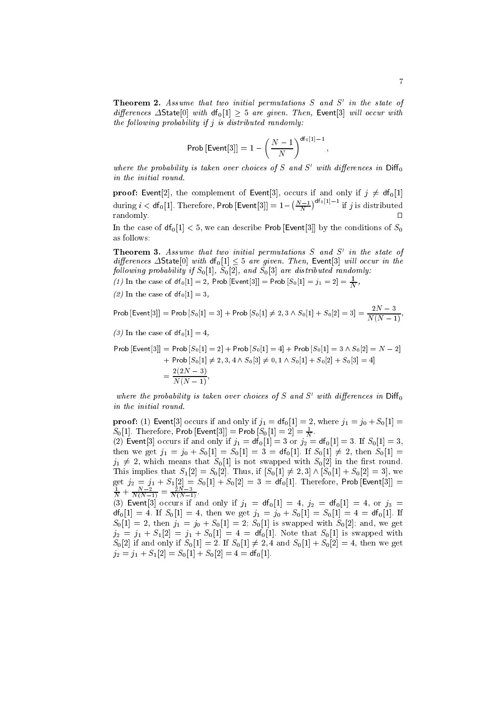**Theorem 2.** Assume that two initial permutations  $S$  and  $S'$  in the state of differences  $\Delta$ State $[0]$  with  $df_0[1] > 5$  are given. Then, Event[3] will occur with the following probability if  $j$  is distributed randomly:

$$
\text{Prob}\left[\text{Event}[3]\right] = 1 - \left(\frac{N-1}{N}\right)^{\text{df}_0[1]-1}
$$

where the probability is taken over choices of S and S' with differences in  $\text{Diff}_0$ in the initial round.

**proof:** Event[2], the complement of Event[3], occurs if and only if  $j \neq df_0[1]$ during  $i < df_0[1]$ . Therefore, Prob [Event[3]] =  $1 - \left(\frac{N-1}{N}\right)^{df_0[1]-1}$  if j is distributed randomlv.  $\Box$ 

In the case of  $df_0[1] < 5$ , we can describe Prob [Event[3]] by the conditions of  $S_0$ as follows:

**Theorem 3.** Assume that two initial permutations  $S$  and  $S'$  in the state of differences  $\Delta$ State[0] with  $df_0[1] < 5$  are given. Then, Event[3] will occur in the following probability if  $S_0[1]$ ,  $S_0[2]$ , and  $S_0[3]$  are distributed randomly.

(1) In the case of  $df_0[1] = 2$ , Prob [Event[3]] = Prob  $[S_0[1] = j_1 = 2] = \frac{1}{N}$ .

(2) In the case of  $df_0[1] = 3$ ,

Prob  $[\text{Event}[3]] = \text{Prob}\,[S_0[1] = 3] + \text{Prob}\,[S_0[1] \neq 2, 3 \wedge S_0[1] + S_0[2] = 3] = \frac{2N-3}{N(N-1)}$ 

(3) In the case of  $df_0[1] = 4$ ,

Prob [Event[3]] = Prob  $[S_0[1] = 2]$  + Prob  $[S_0[1] = 4]$  + Prob  $[S_0[1] = 3 \wedge S_0[2] = N - 2]$ + Prob  $[S_0[1] \neq 2, 3, 4 \wedge S_0[3] \neq 0, 1 \wedge S_0[1] + S_0[2] + S_0[3] = 4$  $=\frac{2(2N-3)}{N(N-1)}$ 

where the probability is taken over choices of S and S' with differences in  $\text{Diff}_0$ in the initial round.

**proof:** (1) Event[3] occurs if and only if  $j_1 = df_0[1] = 2$ , where  $j_1 = j_0 + S_0[1] =$  $S_0[1]$ . Therefore, Prob [Event[3]] = Prob  $[S_0[1] = 2] = \frac{1}{N}$ .<br>(2) Event[3] occurs if and only if  $j_1 = df_0[1] = 3$  or  $j_2 = df_0[1] = 3$ . If  $S_0[1] = 3$ , then we get  $j_1 = j_0 + S_0[1] = S_0[1] = 3 = df_0[1]$ . If  $S_0[1] \neq 2$ , then  $S_0[1] =$  $j_1 \neq 2$ , which means that  $S_0[1]$  is not swapped with  $S_0[2]$  in the first round. This implies that  $S_1[2] = S_0[2]$ . Thus, if  $[S_0[1] \neq 2, 3] \wedge [S_0[1] + S_0[2] = 3]$ , we get  $j_2 = j_1 + S_1[2] = S_0[1] + S_0[2] = 3 = df_0[1]$ . Therefore, Prob [Event[3]] =<br>  $\frac{1}{N} + \frac{N-2}{N(N-1)} = \frac{2N-3}{N(N-1)}$ . (3) Event [3] occurs if and only if  $j_1 = df_0[1] = 4$ ,  $j_2 = df_0[1] = 4$ , or  $j_3 =$ 

 $df_0[1] = 4$ . If  $S_0[1] = 4$ , then we get  $j_1 = j_0 + S_0[1] = S_0[1] = 4 = df_0[1]$ . If  $S_0[1] = 2$ , then  $j_1 = j_0 + S_0[1] = 2$ ;  $S_0[1]$  is swapped with  $S_0[2]$ ; and, we get  $j_2 = j_1 + S_1[2] = j_1 + S_0[1] = 4 = df_0[1]$ . Note that  $S_0[1]$  is swapped with  $S_0[2]$  if and only if  $S_0[1] = 2$ . If  $S_0[1] \neq 2, 4$  and  $S_0[1] + S_0[2] = 4$ , then we get  $j_2 = j_1 + S_1[2] = S_0[1] + S_0[2] = 4 = df_0[1].$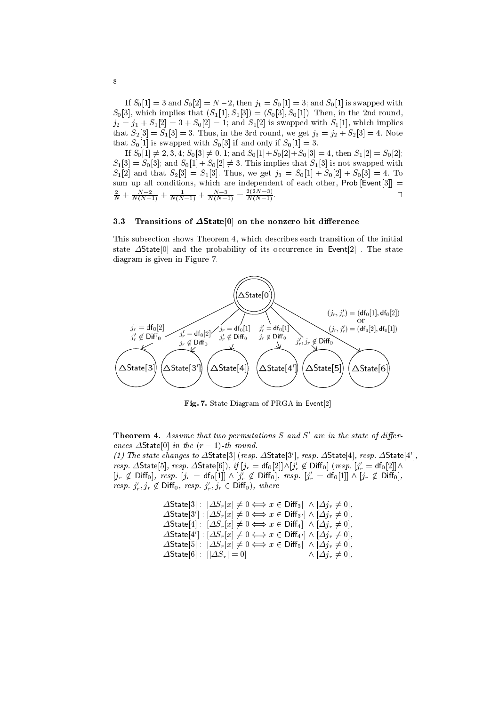If  $S_0[1] = 3$  and  $S_0[2] = N-2$ , then  $j_1 = S_0[1] = 3$ ; and  $S_0[1]$  is swapped with  $S_0[3]$ , which implies that  $(S_1[1], S_1[3]) = (S_0[3], S_0[1])$ . Then, in the 2nd round,  $j_2 = j_1 + S_1[2] = 3 + S_0[2] = 1$ ; and  $S_1[2]$  is swapped with  $S_1[1]$ , which implies that  $S_2[3] = S_1[3] = 3$ . Thus, in the 3rd round, we get  $j_3 = j_2 + S_2[3] = 4$ . Note that  $S_0[1]$  is swapped with  $S_0[3]$  if and only if  $S_0[1] = 3$ .

If  $S_0[1] \neq 2, 3, 4$ ;  $S_0[3] \neq 0, 1$ ; and  $S_0[1] + S_0[2] + S_0[3] = 4$ , then  $S_1[2] = S_0[2]$ ;  $S_1[3] = S_0[3]$ ; and  $S_0[1] + S_0[2] \neq 3$ . This implies that  $S_1[3]$  is not swapped with  $S_1[2]$  and that  $S_2[3] = S_1[3]$ . Thus, we get  $j_3 = S_0[1] + S_0[2] + S_0[3] = 4$ . To sum up all conditions, which are independent of each other, Prob [Event[3]] =  $\frac{2}{N} + \frac{N-2}{N(N-1)} + \frac{1}{N(N-1)} + \frac{N-3}{N(N-1)} = \frac{2(2N-3)}{N(N-1)}$  $\Box$ 

#### Transitions of  $\Delta$ State[0] on the nonzero bit difference  $3.3$

This subsection shows Theorem 4, which describes each transition of the initial state  $\Delta$ State [0] and the probability of its occurrence in Event [2]. The state diagram is given in Figure 7.



Fig. 7. State Diagram of PRGA in Event[2]

**Theorem 4.** Assume that two permutations  $S$  and  $S'$  are in the state of differences  $\Delta$ State[0] in the  $(r-1)$ -th round.

(1) The state changes to  $\Delta$ State[3] (resp.  $\Delta$ State[3'], resp.  $\Delta$ State[4], resp.  $\Delta$ State[4'], resp.  $\Delta$ State[5], resp.  $\Delta$ State[6]), if  $[j_r = df_0[2]] \wedge [j'_r \not\in \text{Diff}_0]$  (resp.  $[j'_r = df_0[2]] \wedge$  $[j_r \notin \text{Diff}_0], \text{ resp. } [j_r = df_0[1]] \wedge [j'_r \notin \text{Diff}_0], \text{ resp. } [j'_r = df_0[1]] \wedge [j_r \notin \text{Diff}_0],$ resp.  $j'_r, j_r \notin \text{Diff}_0$ , resp.  $j'_r, j_r \in \text{Diff}_0$ , where

> $\Delta$ State[3] :  $[\Delta S_r[x] \neq 0 \Longleftrightarrow x \in \text{Diff}_3] \wedge [\Delta j_r \neq 0],$  $\Delta$ State[3']:  $[\Delta S_r[x] \neq 0 \Longleftrightarrow x \in \text{Diff}_{3'}] \wedge [\Delta j_r \neq 0],$  $\Delta$ State[4] :  $[\Delta S_r[x] \neq 0 \Longleftrightarrow x \in \text{Diff}_4] \wedge [\Delta j_r \neq 0],$  $\Delta$ State[4'] :  $[\Delta S_r[x] \neq 0 \Longleftrightarrow x \in \text{Diff}_{4'}] \wedge [\Delta j_r \neq 0],$  $\Delta$ State[5]:  $[\Delta S_r[x] \neq 0 \Longleftrightarrow x \in \text{Diff}_5] \wedge [\Delta j_r \neq 0],$  $\Delta$ State[6] :  $[|\Delta S_r| = 0]$  $\wedge [\Delta j_r \neq 0],$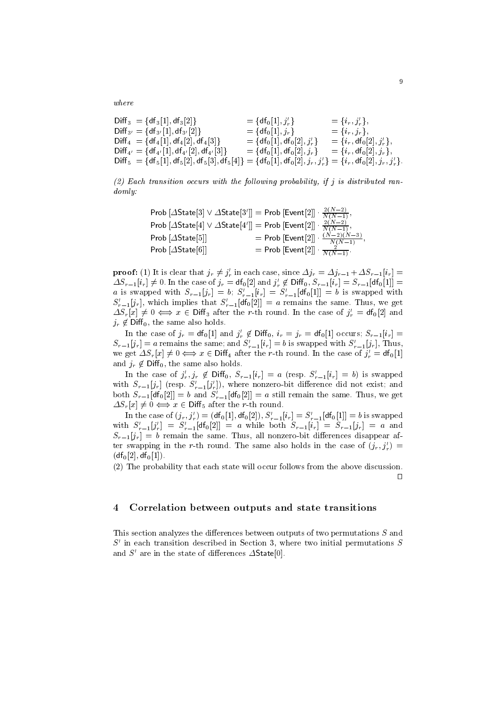$where$ 

$$
Diff_3 = {df_3[1], df_3[2]}\nDiff_4 = {df_4[1], df_4[2], df_4[3]}\nDiff_5 = {df_4[1], df_4[2], df_4[3]}\nDiff_6 = {df_5[1], df_4[2], df_4[3]}\nDiff_7 = {df_6[1], df_4[3]}\nDiff_8 = {df_6[1], df_4[2], df_4[3]}\nDiff_9 = {df_6[1], df_4[3]}\nDiff_1 = {df_6[1], df_6[2],  $j'_r$ }  
\nDiff_1 = {df_6[1], df_6[2],  $j'_r$ }  
\nDiff_1 = {df_6[1], df_6[2],  $j'_r$ }  
\nDiff_2 = {df_7, df_0[2],  $j'_r$ }  
\nDiff_3 = {df_7, df_0[2],  $j'_r$ }  
\nDiff_4 = {df_4[1], df_4[2], df_5[3], df_5[4]}  
\nDiff_5 = {df_5[1], df_5[3], df_5[4]}  
\nDiff_6 = {df_6[1], df_6[2],  $j_r$ ,  $j'_r$ }  
\nDiff_7 = {df_7, df_0[2],  $j_r$ ,  $j'_r$ }
$$

 $(2)$  Each transition occurs with the following probability, if j is distributed ran $domly.$ 

Prob [AState[3] 
$$
\vee
$$
 AState[3']] = Prob [Event[2]]  $\cdot \frac{2(N-2)}{N(N-1)}$ ,

\nProb [AState[4]  $\vee$  AState[4']] = Prob [Event[2]]  $\cdot \frac{2(N-2)}{N(N-1)}$ ,

\nProb [AState[5]]

\n
$$
= Prob [Event[2]] \cdot \frac{(N-2)(N-3)}{N(N-1)}
$$
,

\nProb [AState[6]]

\n
$$
= Prob [Event[2]] \cdot \frac{(N-2)(N-3)}{N(N-1)}
$$
,

**proof:** (1) It is clear that  $j_r \neq j'_r$  in each case, since  $\Delta j_r = \Delta j_{r-1} + \Delta S_{r-1}[i_r] =$  $\Delta S_{r-1}[i_r] \neq 0$ . In the case of  $j_r = df_0[2]$  and  $j'_r \notin \text{Diff}_0$ ,  $S_{r-1}[i_r] = S_{r-1}[df_0[1]] = a$  is swapped with  $S_{r-1}[j_r] = b$ ;  $S'_{r-1}[i_r] = S'_{r-1}[df_0[1]] = b$  is swapped with  $S'_{r-1}[j_r]$ , which implies that  $S'_{r-1}[df_0[2]] = a$  r  $\Delta S_r[x] \neq 0 \Leftrightarrow x \in \text{Diff}_3$  after the r-th round. In the case of  $j'_r = df_0[2]$  and  $j_r \notin \mathsf{Diff}_0$ , the same also holds.

In the case of  $j_r = df_0[1]$  and  $j'_r \notin \text{Diff}_0$ ,  $i_r = j_r = df_0[1]$  occurs;  $S_{r-1}[i_r] =$  $S_{r-1}[j_r] = a$  remains the same; and  $S'_{r-1}[i_r] = b$  is swapped with  $S'_{r-1}[j_r]$ , Thus, we get  $\Delta S_r[x] \neq 0 \Longleftrightarrow x \in \text{Diff}_4$  after the r-th round. In the case of  $j'_r = df_0[1]$ and  $j_r \notin \text{Diff}_0$ , the same also holds.

In the case of  $j'_r, j_r \notin \text{Diff}_0$ ,  $S_{r-1}[i_r] = a$  (resp.  $S'_{r-1}[i_r] = b$ ) is swapped with  $S_{r-1}[j_r]$  (resp.  $S'_{r-1}[j'_r]$ ), where nonzero-bit difference did not exist; and both  $S_{r-1}[\text{df}_0[2]] = b$  and  $S'_{r-1}[\text{df}_0[2]] = a$  still remain the same. Thus, we get  $\Delta S_r[x] \neq 0 \Longleftrightarrow x \in \text{Diff}_5 \text{ after the } r\text{-th round.}$ 

In the case of  $(j_r, j'_r) = (\mathsf{df}_0[1], \mathsf{df}_0[2]), S'_{r-1}[i_r] = S'_{r-1}[\mathsf{df}_0[1]] = b$  is swapped with  $S'_{r-1}[j'_r] = S'_{r-1}[df_0[2]] = a$  while both  $S_{r-1}[i_r] = S_{r-1}[j_r] = a$  and  $S_{r-1}[j_r] = b$  remain the same. Thus, all nonzero-bit differences disappear after swapping in the r-th round. The same also holds in the case of  $(j_r, j'_r)$  $(df<sub>0</sub>[2], df<sub>0</sub>[1]).$ 

(2) The probability that each state will occur follows from the above discussion.  $\Box$ 

#### Correlation between outputs and state transitions  $\overline{\mathbf{4}}$

This section analyzes the differences between outputs of two permutations  $S$  and  $S'$  in each transition described in Section 3, where two initial permutations S and  $S'$  are in the state of differences  $\Delta$ State[0].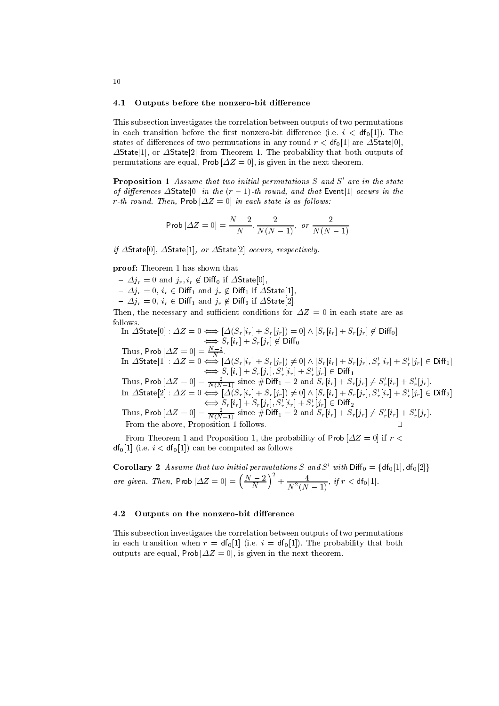#### 4.1 Outputs before the nonzero-bit difference

This subsection investigates the correlation between outputs of two permutations in each transition before the first nonzero-bit difference (i.e.  $i < df_0[1]$ ). The states of differences of two permutations in any round  $r < df_0[1]$  are  $\Delta$ State[0],  $\Delta$ State[1], or  $\Delta$ State[2] from Theorem 1. The probability that both outputs of permutations are equal, Prob  $[\Delta Z = 0]$ , is given in the next theorem.

**Proposition 1** Assume that two initial permutations  $S$  and  $S'$  are in the state of differences  $\Delta$ State[0] in the  $(r-1)$ -th round, and that Event[1] occurs in the r-th round. Then, Prob  $[\Delta Z = 0]$  in each state is as follows:

Prob 
$$
[ \Delta Z = 0 ] = \frac{N-2}{N}, \frac{2}{N(N-1)}, \text{ or } \frac{2}{N(N-1)}
$$

if  $\Delta$ State[0],  $\Delta$ State[1], or  $\Delta$ State[2] occurs, respectively.

proof: Theorem 1 has shown that

 $- \Delta j_r = 0$  and  $j_r, i_r \notin \text{Diff}_0$  if  $\Delta \text{State}[0],$ 

 $\label{eq:3.1} \begin{array}{l} \displaystyle -\Delta j_r=0,\, i_r\in\mathsf{Diff}_1\text{ and }j_r\not\in\mathsf{Diff}_1\text{ if } \Delta\mathsf{State}[1],\\ \displaystyle -\Delta j_r=0,\, i_r\in\mathsf{Diff}_1\text{ and }j_r\not\in\mathsf{Diff}_2\text{ if } \Delta\mathsf{State}[2]. \end{array}$ 

Then, the necessary and sufficient conditions for  $\Delta Z = 0$  in each state are as follows.

In 
$$
\Delta \text{State}[0] : \Delta Z = 0 \Longleftrightarrow [\Delta(S_r[i_r] + S_r[j_r]) = 0] \wedge [S_r[i_r] + S_r[j_r] \notin \text{Diff}_0]
$$
  
 $\Longleftrightarrow S_r[i_r] + S_r[j_r] \notin \text{Diff}_0$ 

Thus, Prob  $[\Delta Z = 0] = \frac{N-2}{N}$ .<br>
In  $\Delta \text{State}[1] : \Delta Z = 0 \iff [\Delta(S_r[i_r] + S_r[j_r]) \neq 0] \land [S_r[i_r] + S_r[j_r], S'_r[i_r] + S'_r[j_r] \in \text{Diff}_1]$ <br>  $\iff S_r[i_r] + S_r[j_r], S'_r[i_r] + S'_r[j_r] \in \text{Diff}_1$ <br>
Thus, Prob  $[\Delta Z = 0] = \frac{2}{N(N-1)}$  since  $\# \text{Diff}_1 = 2$  and  $S_r[i_r] + S_r[j_r] \ne$ 

In  $\triangle$ State[2]:  $\triangle \angle = 0$   $\longleftrightarrow$   $\triangle \angle v_r[v_r] + S_r[j_r], S'_r[i_r] + S'_r[j_r] \in \text{Diff}_2$ <br>Thus, Prob  $[\triangle Z = 0] = \frac{2}{N(N-1)}$  since  $\# \text{Diff}_1 = 2$  and  $S_r[i_r] + S_r[j_r] \neq S'_r[i_r] + S'_r[j_r]$ . From the above, Proposition 1 follows.

From Theorem 1 and Proposition 1, the probability of Prob  $\Delta Z = 0$  if  $r <$  $df_0[1]$  (i.e.  $i < df_0[1]$ ) can be computed as follows.

**Corollary 2** Assume that two initial permutations S and S' with  $Diff_0 = {df_0[1], df_0[2]}$ are given. Then, Prob  $[\Delta Z = 0] = \left(\frac{N-2}{N}\right)^2 + \frac{4}{N^2(N-1)}$ , if  $r < df_0[1]$ .

#### 4.2 Outputs on the nonzero-bit difference

This subsection investigates the correlation between outputs of two permutations in each transition when  $r = df_0[1]$  (i.e.  $i = df_0[1]$ ). The probability that both outputs are equal, Prob  $[\Delta Z = 0]$ , is given in the next theorem.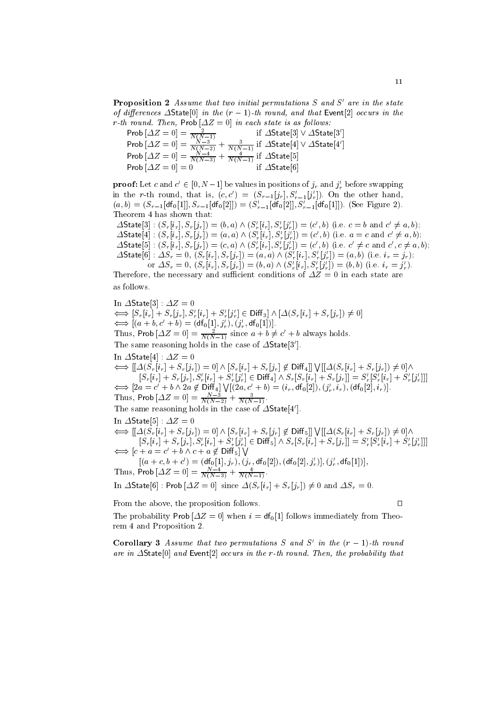**Proposition 2** Assume that two initial permutations S and S' are in the state of differences  $\Delta$ State[0] in the  $(r-1)$ -th round, and that Event[2] occurs in the r-th round. Then,  $\text{Prob}[\Delta Z = 0]$  in each state is as follows:

Prob 
$$
[\Delta Z = 0] = \frac{2}{N(N-1)}
$$
 if  $\Delta \text{State}[3] \vee \Delta \text{State}[3']$  Prob  $[\Delta Z = 0] = \frac{N-3}{N(N-2)} + \frac{3}{N(N-1)}$  if  $\Delta \text{State}[4] \vee \Delta \text{State}[4']$  Prob  $[\Delta Z = 0] = \frac{N-4}{N(N-3)} + \frac{4}{N(N-1)}$  if  $\Delta \text{State}[5]$  Prob  $[\Delta Z = 0] = 0$  if  $\Delta \text{State}[6]$ 

**proof:** Let c and  $c' \in [0, N-1]$  be values in positions of  $j_r$  and  $j'_r$  before swapping in the r-th round, that is,  $(c, c') = (S_{r-1}[j_r], S'_{r-1}[j'_r])$ . On the other hand,  $(a, b) = (S_{r-1}[\text{df}_0[1]], S_{r-1}[\text{df}_0[2]]) = (S'_{r-1}[\text{df}_0[2]], S'_{r-1}[\text{df}_0[1]])$ . (See Figure 2). Theorem 4 has shown that:  $\Delta$ State[3]:  $(S_r[i_r], S_r[j_r]) = (b, a) \wedge (S'_r[i_r], S'_r[j'_r]) = (c', b)$  (i.e.  $c = b$  and  $c' \neq a, b$ );

 $\Delta$ State[4]:  $(S_r[i_r], S_r[j_r]) = (a, a) \wedge (S'_r[i_r], S'_r[j'_r]) = (c', b)$  (i.e.  $a = c$  and  $c' \neq a, b$ );  $\Delta$ State[5]:  $(S_r[i_r], S_r[j_r]) = (c, a) \wedge (S'_r[i_r], S'_r[j'_r]) = (c', b)$  (i.e.  $c' \neq c$  and  $c', c \neq a, b$ );  $\Delta$ State[6]:  $\Delta S_r = 0$ ,  $(S_r[i_r], S_r[j_r]) = (a, a) \wedge (S'_r[i_r], S'_r[j'_r]) = (a, b)$  (i.e.  $i_r = j_r$ ); or  $\Delta S_r = 0$ ,  $(S_r[i_r], S_r[j_r]) = (b, a) \wedge (S'_r[i_r], S'_r[j'_r]) = (b, b)$  (i.e.  $i_r = j'_r$ ).

Therefore, the necessary and sufficient conditions of  $\Delta Z = 0$  in each state are as follows.

In  $\Delta$ State[3]:  $\Delta Z = 0$  $\Longleftrightarrow [S_r[i_r] + S_r[j_r], S'_r[i_r] + S'_r[j'_r] \in \text{Diff}_3] \wedge [\Delta(S_r[i_r] + S_r[j_r]) \neq 0]$  $\iff [(a + b, c' + b) = (df_0[1], j'_r), (j'_r, df_0[1])].$ Thus, Prob  $[\Delta Z = 0] = \frac{2}{N(N-1)}$  since  $a + b \neq c' + b$  always holds. The same reasoning holds in the case of  $\Delta$ State[3']. In  $\Delta$ State[4] :  $\Delta Z = 0$  $\iff [[\Delta(S_r[i_r]+S_r[j_r]) = 0] \wedge [S_r[i_r]+S_r[j_r] \notin \text{Diff}_4]] \vee [[\Delta(S_r[i_r]+S_r[j_r]) \neq 0] \wedge$  $[S_r[i_r] + S_r[j_r], S'_r[i_r] + S'_r[j'_r] \in \text{Diff}_4] \wedge S_r[S_r[i_r] + S_r[j_r]] = S'_r[S'_r[i_r] + S'_r[j'_r]]]$  $\iff [2a = c' + b \wedge 2a \notin \text{Diff}_4] \vee [(2a, c' + b) = (i_r, df_0[2]), (j'_r, i_r), (df_0[2], i_r)].$ Thus, Prob  $[\Delta Z = 0] = \frac{N-3}{N(N-2)} + \frac{3}{N(N-1)}$ . The same reasoning holds in the case of  $\Delta$ State[4']. In  $\Delta$ State[5] :  $\Delta Z = 0$  $\iff [[\Delta(S_r[i_r]+S_r[j_r]) = 0] \wedge [S_r[i_r]+S_r[j_r] \notin \text{Diff}_5]] \vee [[\Delta(S_r[i_r]+S_r[j_r]) \neq 0] \wedge$  $[S_r[i_r] + S_r[j_r], S'_r[i_r] + S'_r[j'_r] \in \text{Diff}_5] \wedge S_r[S_r[i_r] + S_r[j_r]] = S'_r[S'_r[i_r] + S'_r[j'_r]]$  $\Longleftrightarrow [c + a = c' + b \wedge c + a \not\in \text{Diff}_5] \bigvee$  $[(a+c, b+c') = (\mathsf{df}_0[1], j_r), (j_r, \mathsf{df}_0[2]), (\mathsf{df}_0[2], j'_r)], (j'_r, \mathsf{df}_0[1])],$ <br>Thus, Prob  $[\Delta Z = 0] = \frac{N-4}{N(N-3)} + \frac{4}{N(N-1)}$ . In  $\Delta$ State[6]: Prob  $[\Delta Z = 0]$  since  $\Delta (S_r[i_r] + S_r[j_r]) \neq 0$  and  $\Delta S_r = 0$ . From the above, the proposition follows.

The probability Prob  $[\Delta Z = 0]$  when  $i = df_0[1]$  follows immediately from Theorem 4 and Proposition 2.

**Corollary 3** Assume that two permutations S and S' in the  $(r-1)$ -th round are in  $\Delta$ State[0] and Event[2] occurs in the r-th round. Then, the probability that

 $\Box$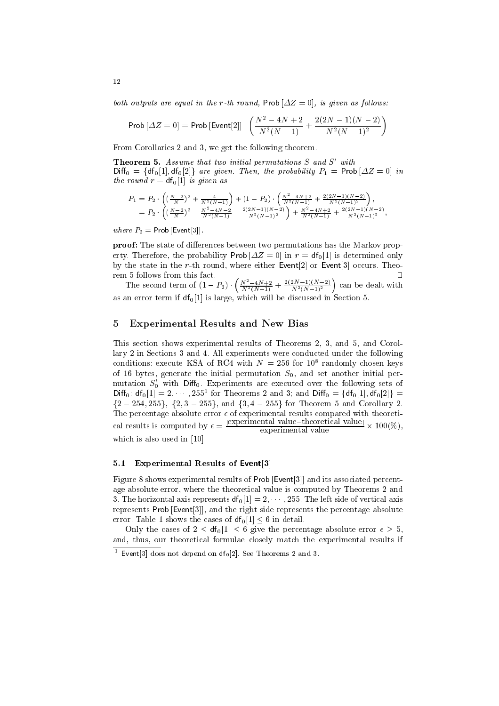both outputs are equal in the r-th round, Prob  $[\Delta Z = 0]$ , is given as follows:

$$
\text{Prob}\left[\varDelta Z=0\right] = \text{Prob}\left[\text{Event}[2]\right] \cdot \left(\frac{N^2 - 4N + 2}{N^2(N-1)} + \frac{2(2N-1)(N-2)}{N^2(N-1)^2}\right)
$$

From Corollaries 2 and 3, we get the following theorem.

**Theorem 5.** Assume that two initial permutations  $S$  and  $S'$  with  $Diff_0 = \{df_0[1], df_0[2]\}$  are given. Then, the probability  $P_1 = Prob[\Delta Z = 0]$  in the round  $r = df_0[1]$  is given as

$$
P_1 = P_2 \cdot \left( \left( \frac{N-2}{N} \right)^2 + \frac{4}{N^2(N-1)} \right) + (1-P_2) \cdot \left( \frac{N^2 - 4N + 2}{N^2(N-1)} + \frac{2(2N-1)(N-2)}{N^2(N-1)^2} \right),
$$
  
= 
$$
P_2 \cdot \left( \left( \frac{N-2}{N} \right)^2 - \frac{N^2 - 4N - 2}{N^2(N-1)} - \frac{2(2N-1)(N-2)}{N^2(N-1)^2} \right) + \frac{N^2 - 4N + 2}{N^2(N-1)} + \frac{2(2N-1)(N-2)}{N^2(N-1)^2},
$$

where  $P_2$  = Prob [Event[3]]

**proof:** The state of differences between two permutations has the Markov property. Therefore, the probability Prob  $[\Delta Z = 0]$  in  $r = df_0[1]$  is determined only by the state in the r-th round, where either Event<sup>[2]</sup> or Event<sup>[3]</sup> occurs. Theorem 5 follows from this fact.  $\Box$ 

The second term of  $(1 - P_2) \cdot \left( \frac{N^2 - 4N + 2}{N^2 (N-1)} + \frac{2(2N-1)(N-2)}{N^2 (N-1)^2} \right)$  can be dealt with as an error term if  $df_0[1]$  is large, which will be discussed in Section 5.

#### **Experimental Results and New Bias** 5

This section shows experimental results of Theorems 2, 3, and 5, and Corollary 2 in Sections 3 and 4. All experiments were conducted under the following conditions: execute KSA of RC4 with  $N = 256$  for  $10^8$  randomly chosen keys of 16 bytes, generate the initial permutation  $S_0$ , and set another initial permutation  $S'_0$  with Diff<sub>0</sub>. Experiments are executed over the following sets of Diff<sub>0</sub>:  $df_0[1] = 2, \dots, 255^1$  for Theorems 2 and 3; and Diff<sub>0</sub> = { $df_0[1]$ ,  $df_0[2]$ } =  ${2-254,255}, {2,3-255}, \text{ and } {3,4-255} \text{ for Theorem 5 and Corollary 2.}$ The percentage absolute error  $\epsilon$  of experimental results compared with theoretical results is computed by  $\epsilon = \frac{|\text{experimental value}-\text{theoretical value}|}{\text{exponential value}} \times 100(\%)$ . experimental value which is also used in  $[10]$ .

#### **Experimental Results of Event**[3]  $5.1$

Figure 8 shows experimental results of Prob [Event[3]] and its associated percentage absolute error, where the theoretical value is computed by Theorems 2 and 3. The horizontal axis represents  $df_0[1] = 2, \dots, 255$ . The left side of vertical axis represents Prob [Event[3]], and the right side represents the percentage absolute error. Table 1 shows the cases of  $df_0[1] < 6$  in detail.

Only the cases of  $2 \leq df_0[1] \leq 6$  give the percentage absolute error  $\epsilon \geq 5$ , and, thus, our theoretical formulae closely match the experimental results if

<sup>&</sup>lt;sup>1</sup> Event<sup>[3]</sup> does not depend on  $df_0[2]$ . See Theorems 2 and 3.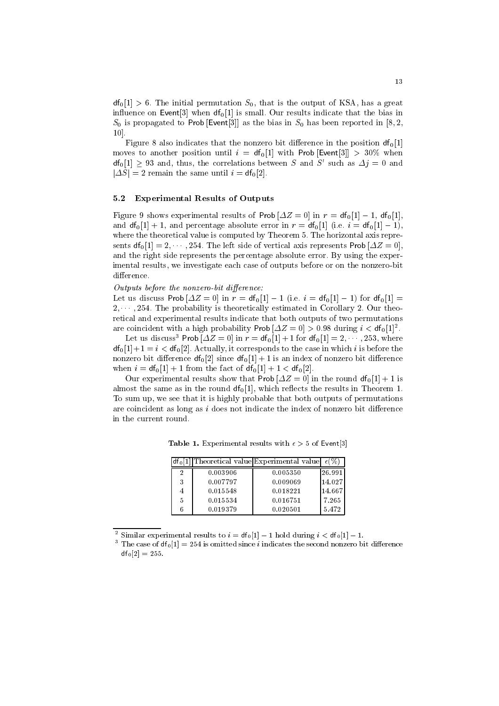$df_0[1] > 6$ . The initial permutation  $S_0$ , that is the output of KSA, has a great influence on Event<sup>[3]</sup> when  $df_0[1]$  is small. Our results indicate that the bias in  $S_0$  is propagated to Prob [Event[3]] as the bias in  $S_0$  has been reported in [8,2, 10].

Figure 8 also indicates that the nonzero bit difference in the position  $df_0[1]$ moves to another position until  $i = df_0[1]$  with Prob [Event[3]] > 30% when  $df_0[1] \geq 93$  and, thus, the correlations between S and S' such as  $\Delta j = 0$  and  $|\Delta S| = 2$  remain the same until  $i = df_0[2]$ .

#### **Experimental Results of Outputs**  $5.2$

Figure 9 shows experimental results of Prob  $[\Delta Z = 0]$  in  $r = df_0[1] - 1$ ,  $df_0[1]$ , and  $df_0[1]+1$ , and percentage absolute error in  $r = df_0[1]$  (i.e.  $i = df_0[1]-1$ ), where the theoretical value is computed by Theorem 5. The horizontal axis represents  $df_0[1] = 2, \dots, 254$ . The left side of vertical axis represents Prob  $[\Delta Z = 0]$ , and the right side represents the percentage absolute error. By using the experimental results, we investigate each case of outputs before or on the nonzero-bit difference.

### Outputs before the nonzero-bit difference:

Let us discuss Prob  $[\Delta Z = 0]$  in  $r = df_0[1] - 1$  (i.e.  $i = df_0[1] - 1$ ) for  $df_0[1] =$  $2, \dots, 254$ . The probability is theoretically estimated in Corollary 2. Our theoretical and experimental results indicate that both outputs of two permutations are coincident with a high probability Prob  $|\Delta Z = 0| > 0.98$  during  $i < df_0[1]^2$ .

Let us discuss<sup>3</sup> Prob  $[\Delta Z = 0]$  in  $r = df_0[1] + 1$  for  $df_0[1] = 2, \dots, 253$ , where  $df_0[1]+1=i < df_0[2]$ . Actually, it corresponds to the case in which i is before the nonzero bit difference  $df_0[2]$  since  $df_0[1]+1$  is an index of nonzero bit difference when  $i = df_0[1] + 1$  from the fact of  $df_0[1] + 1 < df_0[2]$ .

Our experimental results show that Prob  $[\Delta Z = 0]$  in the round  $df_0[1] + 1$  is almost the same as in the round  $df_0[1]$ , which reflects the results in Theorem 1. To sum up, we see that it is highly probable that both outputs of permutations are coincident as long as  $i$  does not indicate the index of nonzero bit difference in the current round.

**Table 1.** Experimental results with  $\epsilon > 5$  of Event[3]

|   |          | $df_0[1]$ Theoretical value Experimental value | $\epsilon$ . |
|---|----------|------------------------------------------------|--------------|
|   | 0.003906 | 0.005350                                       | 26.991       |
| 3 | 0.007797 | 0.009069                                       | 14.027       |
|   | 0.015548 | 0.018221                                       | 14.667       |
| 5 | 0.015534 | 0.016751                                       | 7.265        |
|   | 0.019379 | 0.020501                                       | 5.472        |

<sup>2</sup> Similar experimental results to  $i = df_0[1] - 1$  hold during  $i < df_0[1] - 1$ .

<sup>3</sup> The case of  $df_0[1] = 254$  is omitted since *i* indicates the second nonzero bit difference  $df_0[2] = 255.$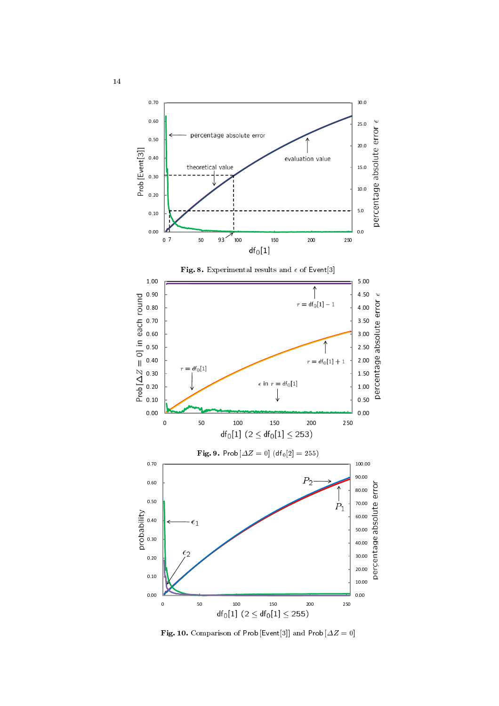

 $\blacksquare$  . The comparison of the sense in and the set  $\blacksquare$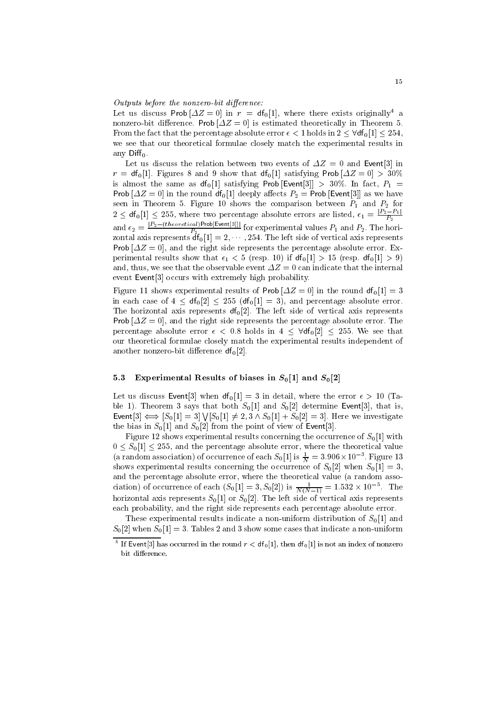Outputs before the nonzero-bit difference:

Let us discuss Prob  $[\Delta Z = 0]$  in  $r = df_0[1]$ , where there exists originally<sup>4</sup> a nonzero-bit difference. Prob  $[\Delta Z = 0]$  is estimated theoretically in Theorem 5. From the fact that the percentage absolute error  $\epsilon < 1$  holds in  $2 < \forall df_0[1] < 254$ , we see that our theoretical formulae closely match the experimental results in any  $Diff_0$ .

Let us discuss the relation between two events of  $\Delta Z = 0$  and Event [3] in  $r = df_0[1]$ . Figures 8 and 9 show that  $df_0[1]$  satisfying Prob $[\Delta Z = 0] > 30\%$ is almost the same as  $df_0[1]$  satisfying Prob [Event[3]] > 30%. In fact,  $P_1$  = Prob  $[\Delta Z = 0]$  in the round df<sub>0</sub>[1] deeply affects  $P_2$  = Prob [Event[3]] as we have seen in Theorem 5. Figure 10 shows the comparison between  $P_1$  and  $P_2$  for  $2 \leq df_0[1] \leq 255$ , where two percentage absolute errors are listed,  $\epsilon_1 = \frac{|P_2 - P_1|}{P_2}$ <br>and  $\epsilon_2 = \frac{|P_2 - (theoretical)Prob[Event[3]]}{P_2}$  for experimental values  $P_1$  and  $P_2$ . The horizontal axis represents  $df_0[1] = 2, \dots, 254$ . Prob  $[\Delta Z = 0]$ , and the right side represents the percentage absolute error. Experimental results show that  $\epsilon_1 < 5$  (resp. 10) if  $df_0[1] > 15$  (resp.  $df_0[1] > 9$ ) and, thus, we see that the observable event  $\Delta Z = 0$  can indicate that the internal event Event<sup>[3]</sup> occurs with extremely high probability.

Figure 11 shows experimental results of Prob  $[\Delta Z = 0]$  in the round  $df_0[1] = 3$ in each case of  $4 \leq df_0[2] \leq 255$  (df<sub>0</sub>[1] = 3), and percentage absolute error. The horizontal axis represents  $df_0[2]$ . The left side of vertical axis represents **Prob**  $[\Delta Z = 0]$ , and the right side represents the percentage absolute error. The percentage absolute error  $\epsilon$  < 0.8 holds in 4 <  $\forall df_0[2]$  < 255. We see that our theoretical formulae closely match the experimental results independent of another nonzero-bit difference  $df_0[2]$ .

#### Experimental Results of biases in  $S_0[1]$  and  $S_0[2]$  $5.3$

Let us discuss Event[3] when  $df_0[1] = 3$  in detail, where the error  $\epsilon > 10$  (Table 1). Theorem 3 says that both  $S_0[1]$  and  $S_0[2]$  determine Event[3], that is, Event[3]  $\iff$   $[S_0[1] = 3] \setminus [S_0[1] \neq 2, 3 \wedge S_0[1] + S_0[2] = 3]$ . Here we investigate the bias in  $S_0[1]$  and  $S_0[2]$  from the point of view of Event[3].

Figure 12 shows experimental results concerning the occurrence of  $S_0[1]$  with  $0 \leq S_0[1] \leq 255$ , and the percentage absolute error, where the theoretical value (a random association) of occurrence of each  $S_0[1]$  is  $\frac{1}{N} = 3.906 \times 10^{-3}$ . Figure 13 shows experimental results concerning the occurrence of  $S_0[2]$  when  $S_0[1] = 3$ , and the percentage absolute error, where the theoretical value (a random association) of occurrence of each  $(S_0[1] = 3, S_0[2])$  is  $\frac{1}{N(N-1)} = 1.532 \times 10^{-5}$ . The horizontal axis represents  $S_0[1]$  or  $S_0[2]$ . The left side of vertical axis represents each probability, and the right side represents each percentage absolute error.

These experimental results indicate a non-uniform distribution of  $S_0[1]$  and  $S_0[2]$  when  $S_0[1] = 3$ . Tables 2 and 3 show some cases that indicate a non-uniform

<sup>&</sup>lt;sup>4</sup> If Event[3] has occurred in the round  $r < df_0[1]$ , then  $df_0[1]$  is not an index of nonzero bit difference.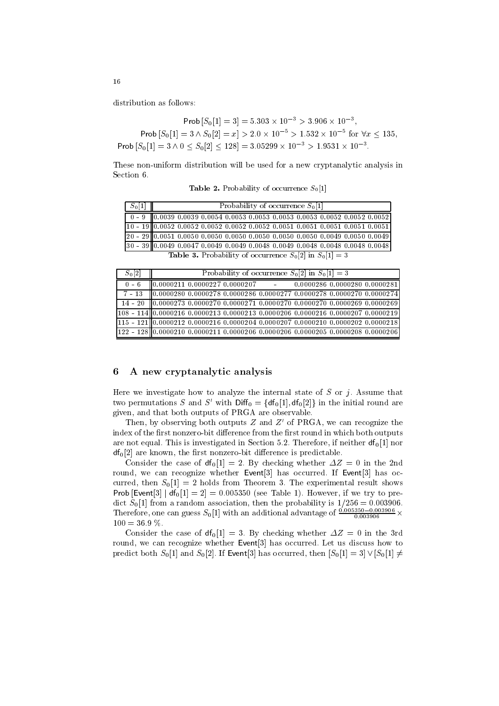Prob  $|S_0|1| = 3$  = 5.303  $\times$  10  $^{-}$  > 3.900  $\times$  10  $^{-}$ ,  $\text{Prob}\left[S_0[1] = 3 \wedge S_0[2] = x\right] > 2.0 \times 10^{-5} > 1.532 \times 10^{-5} \text{ for } \forall x \leq 135,$  $\text{Prob}\left[S_{0}[1]=3\land 0\leq S_{0}[2]\leq 128\right]=3.05299\times 10^{-5}>1.9531\times 10^{-5}.$ 

 $\mathbf{1}$  . The contract of the contract of the contract of the contract of the contract of the contract of the contract of the contract of the contract of the contract of the contract of the contract of the contract of th

|  |  | <b>Table 2.</b> Probability of occurrence $S_0[1]$ |  |
|--|--|----------------------------------------------------|--|
|--|--|----------------------------------------------------|--|

| $S_0[1]$ | Probability of occurrence $S_0[1]$                                                 |
|----------|------------------------------------------------------------------------------------|
|          | $0 - 9$ 0.0039 0.0039 0.0054 0.0053 0.0053 0.0053 0.0053 0.0052 0.0052 0.0052      |
|          | $10 - 1900.00520.00520.00520.00520.00520.00510.00510.00510.00510.0051$             |
|          | $20 - 29$ 0.0051 0.0050 0.0050 0.0050 0.0050 0.0050 0.0050 0.0049 0.0050 0.0049    |
|          | $30 - 39$ $ 0.0049 0.0047 0.0049 0.0049 0.0048 0.0049 0.0048 0.0048 0.0048 0.0048$ |
|          | <b>Table 3.</b> Probability of occurrence $S_0[2]$ in $S_0[1] = 3$                 |

| $S_0[2]$     | Probability of occurrence $S_0[2]$ in $S_0[1] = 3$                                 |
|--------------|------------------------------------------------------------------------------------|
| $0 - 6$      | $\parallel 0.0000211 \, 0.0000227 \, 0.0000207$ - 0.0000286 0.0000280 0.0000281    |
| $7 - 13$     | $\frac{1}{10.0000280}$ 0.0000278 0.0000286 0.0000277 0.0000278 0.0000270 0.0000274 |
| $14 - 20$    | $10.0000273 0.0000270 0.0000271 0.0000270 0.0000270 0.0000269 0.00002691$          |
|              | 108 - 114 0.0000216 0.0000213 0.0000213 0.0000206 0.0000216 0.0000207 0.0000219    |
| $1115 - 121$ | $10.0000212$ 0.0000216 0.0000204 0.0000207 0.0000210 0.0000202 0.0000218           |
|              | $[0.0000210, 0.0000211, 0.0000206, 0.0000206, 0.0000205, 0.0000208, 0.0000206,$    |

## %

= - - -  ! B - - ! - - " # - two permutations S and S' with  $\text{Diff}_0 = \{df_0[1], df_0[2]\}\$  in the initial round are  $\blacksquare$ 

 $\perp$  nen, by observing both outputs  $\angle$  and  $\angle$  of  $\Gamma \text{N}$ , we can recognize the  $\mathbb{R}^3$  . The state of the state of the state of the state of the state of the state of the state of the state of the state of the state of the state of the state of the state of the state of the state of the state of are not equal. This is investigated in Section 5.2. Therefore, if neither  $df_0[1]$  nor  $\mathsf{df}_0[2]$  are known, the first nonzero-bit difference is predictable.

Consider the case of  $df_0[1] = 2$ . By checking whether  $\Delta Z = 0$  in the 2nd 
  B - %&) # 7" %&) 3 curred, then  $S_0[1] = 2$  holds from Theorem 3. The experimental result shows Prob [Event]3 |  $df_0[1] = 2$ ] = 0.005350 (see Table 1). However, if we try to predict  $S_0[1]$  from a random association, then the probability is  $1/256 = 0.003906$ . 1 herefore, one can guess  $S_0[1]$  with an additional advantage of  $\frac{3.0003906}{0.003906}$  x  $100 = 36.9 %$ 

 - " %) <sup>4</sup> &# <sup>I</sup>  - 4 5  - & 
  B - %&) 
# \*- predict both  $S_0[1]$  and  $S_0[2]$ . If Event[3] has occurred, then  $|S_0[1] = 3 \vee |S_0[1] \neq$ 

16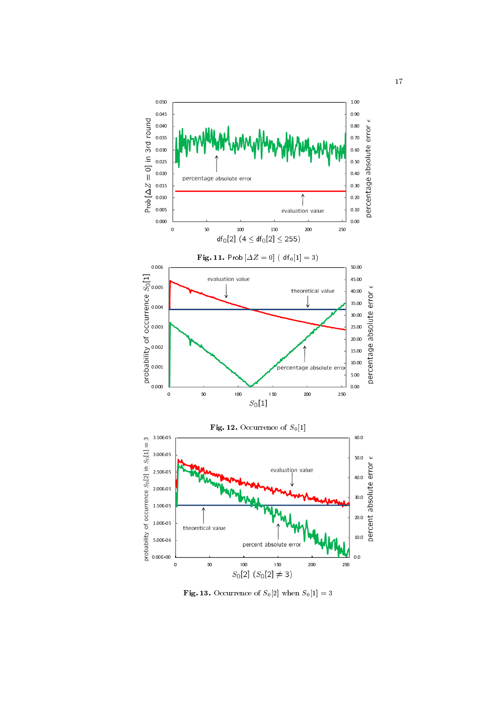

  @ ;3< " ;< : 8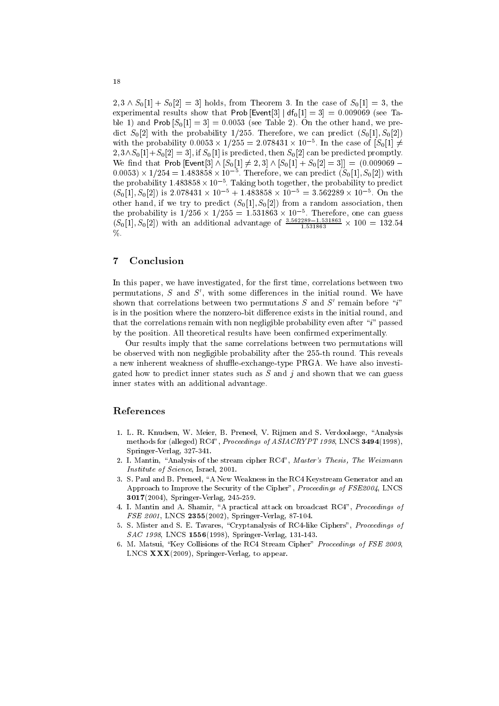$2, 3 \wedge S_0[1] + S_0[2] = 3$  holds, from Theorem 3. In the case of  $S_0[1] = 3$ , the experimental results show that Prob [Event[3] |  $df_0[1] = 3$ ] = 0.009069 (see Table 1) and Prob  $[S_0[1] = 3] = 0.0053$  (see Table 2). On the other hand, we predict  $S_0[2]$  with the probability 1/255. Therefore, we can predict  $(S_0[1], S_0[2])$ with the probability  $0.0053 \times 1/255 = 2.078431 \times 10^{-5}$ . In the case of  $[S_0[1] \neq 0.0053 \times 1/255 = 2.078431 \times 10^{-5}$ .  $2, 3 \wedge S_0[1]+S_0[2]=3$ , if  $S_0[1]$  is predicted, then  $S_0[2]$  can be predicted promptly. We find that Prob [Event[3]  $\wedge$   $[S_0[1] \neq 2,3] \wedge [S_0[1] + S_0[2] = 3]$ ] = (0.009069 –  $(0.0053) \times 1/254 = 1.483858 \times 10^{-5}$ . Therefore, we can predict  $(S_0[1], S_0[2])$  with the probability  $1.483858 \times 10^{-5}$ . Taking both together, the probability to predict  $(S_0[1], S_0[2])$  is  $2.078431 \times 10^{-5} + 1.483858 \times 10^{-5} = 3.562289 \times 10^{-5}$ . On the other hand, if we try to predict  $(S_0[1], S_0[2])$  from a random association, then the probability is  $1/256 \times 1/255 = 1.531863 \times 10^{-5}$ . Therefore, one can guess  $(S_0[1], S_0[2])$  with an additional advantage of  $\frac{3.562289 - 1.531863}{1.531863} \times 100 = 132.54$  $\%$ .

#### $\overline{7}$ Conclusion

In this paper, we have investigated, for the first time, correlations between two permutations,  $S$  and  $S'$ , with some differences in the initial round. We have shown that correlations between two permutations  $S$  and  $S'$  remain before "i" is in the position where the nonzero-bit difference exists in the initial round, and that the correlations remain with non negligible probability even after "i" passed by the position. All theoretical results have been confirmed experimentally.

Our results imply that the same correlations between two permutations will be observed with non negligible probability after the 255-th round. This reveals a new inherent weakness of shuffle-exchange-type PRGA. We have also investigated how to predict inner states such as  $S$  and j and shown that we can guess inner states with an additional advantage.

## References

- 1. L. R. Knudsen, W. Meier, B. Preneel, V. Rijmen and S. Verdoolaege, "Analysis methods for (alleged) RC4", Proceedings of ASIACRYPT 1998, LNCS 3494(1998), Springer-Verlag, 327-341.
- 2. I. Mantin, "Analysis of the stream cipher RC4", Master's Thesis, The Weizmann *Institute of Science*, Israel, 2001.
- 3. S. Paul and B. Preneel, "A New Weakness in the RC4 Keystream Generator and an Approach to Improve the Security of the Cipher", Proceedings of FSE2004, LNCS  $3017(2004)$ , Springer-Verlag, 245-259.
- 4. I. Mantin and A. Shamir, "A practical attack on broadcast RC4", Proceedings of FSE 2001, LNCS 2355(2002), Springer-Verlag, 87-104.
- 5. S. Mister and S. E. Tavares, "Cryptanalysis of RC4-like Ciphers", Proceedings of  $SAC$  1998, LNCS 1556(1998), Springer-Verlag, 131-143.
- 6. M. Matsui, "Key Collisions of the RC4 Stream Cipher" Proceedings of FSE 2009, LNCS  $\mathbf{XXX}(2009)$ , Springer-Verlag, to appear.